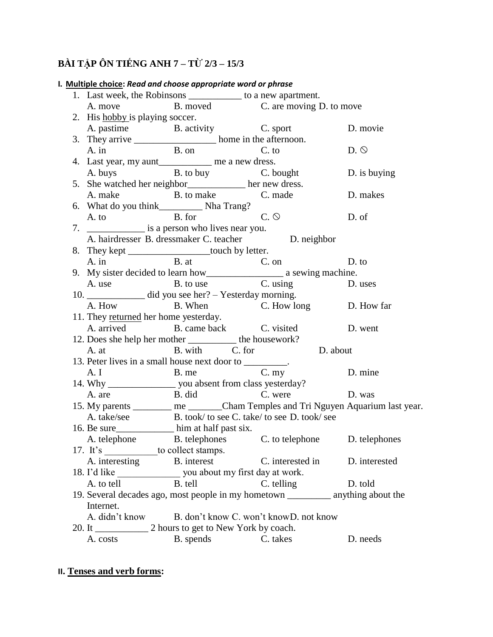# **BÀI TẬP ÔN TIẾNG ANH 7 – TỪ 2/3 – 15/3**

|                                                                                     | 1. Last week, the Robinsons _____________ to a new apartment.                                                                                |                                                          |                                                                             |               |  |
|-------------------------------------------------------------------------------------|----------------------------------------------------------------------------------------------------------------------------------------------|----------------------------------------------------------|-----------------------------------------------------------------------------|---------------|--|
|                                                                                     |                                                                                                                                              |                                                          | A. move B. moved C. are moving D. to move                                   |               |  |
|                                                                                     | 2. His hobby is playing soccer.                                                                                                              |                                                          |                                                                             |               |  |
|                                                                                     |                                                                                                                                              | A. pastime B. activity C. sport                          |                                                                             | D. movie      |  |
|                                                                                     | 3. They arrive _____________________ home in the afternoon.                                                                                  |                                                          |                                                                             |               |  |
|                                                                                     |                                                                                                                                              | A. in B. on C. to                                        |                                                                             | D.            |  |
|                                                                                     | 4. Last year, my aunt_____________ me a new dress.                                                                                           |                                                          |                                                                             |               |  |
|                                                                                     |                                                                                                                                              |                                                          | A. buys B. to buy B. bought                                                 | D. is buying  |  |
|                                                                                     |                                                                                                                                              | 5. She watched her neighbor_____________ her new dress.  |                                                                             |               |  |
|                                                                                     |                                                                                                                                              |                                                          | A. make B. to make C. made                                                  | D. makes      |  |
|                                                                                     |                                                                                                                                              |                                                          |                                                                             |               |  |
|                                                                                     |                                                                                                                                              | A. to B. for C. $\odot$                                  |                                                                             | D. of         |  |
|                                                                                     |                                                                                                                                              |                                                          |                                                                             |               |  |
|                                                                                     | A. hairdresser B. dressmaker C. teacher D. neighbor                                                                                          |                                                          |                                                                             |               |  |
|                                                                                     |                                                                                                                                              | 8. They kept ___________________touch by letter.         |                                                                             |               |  |
|                                                                                     |                                                                                                                                              |                                                          | A. in B. at C. on D.<br>9. My sister decided to learn how a sewing machine. | D. to         |  |
|                                                                                     |                                                                                                                                              |                                                          |                                                                             |               |  |
|                                                                                     |                                                                                                                                              |                                                          | A. use B. to use C. using D. uses                                           |               |  |
|                                                                                     |                                                                                                                                              | 10. ______________ did you see her? – Yesterday morning. |                                                                             |               |  |
|                                                                                     | A. How                                                                                                                                       |                                                          | B. When C. How long D. How far                                              |               |  |
| 11. They returned her home yesterday.                                               |                                                                                                                                              |                                                          |                                                                             |               |  |
|                                                                                     |                                                                                                                                              |                                                          | A. arrived B. came back C. visited D. went                                  |               |  |
| 12. Does she help her mother ___________ the housework?                             |                                                                                                                                              |                                                          |                                                                             |               |  |
|                                                                                     | A. at B. with C. for D. about                                                                                                                |                                                          |                                                                             |               |  |
|                                                                                     |                                                                                                                                              | 13. Peter lives in a small house next door to ________.  |                                                                             |               |  |
|                                                                                     |                                                                                                                                              |                                                          |                                                                             | D. mine       |  |
|                                                                                     | 13. Peter lives in a small nouse next door to _________.<br>A. I B. me C. my<br>14. Why ___________________ you absent from class yesterday? |                                                          |                                                                             |               |  |
|                                                                                     | A. are                                                                                                                                       | B. did C. were                                           | D. was                                                                      |               |  |
|                                                                                     | 15. My parents ________ me ______Cham Temples and Tri Nguyen Aquarium last year.                                                             |                                                          |                                                                             |               |  |
|                                                                                     | A. take/see B. took/ to see C. take/ to see D. took/ see                                                                                     |                                                          |                                                                             |               |  |
|                                                                                     |                                                                                                                                              | 16. Be sure_________________ him at half past six.       |                                                                             |               |  |
|                                                                                     |                                                                                                                                              |                                                          | A. telephone B. telephones C. to telephone D. telephones                    |               |  |
|                                                                                     |                                                                                                                                              | 17. It's ______________to collect stamps.                |                                                                             |               |  |
|                                                                                     | A. interesting                                                                                                                               | B. interest                                              | C. interested in                                                            | D. interested |  |
|                                                                                     |                                                                                                                                              |                                                          |                                                                             |               |  |
|                                                                                     | A. to tell                                                                                                                                   | B. tell                                                  | C. telling                                                                  | D. told       |  |
| 19. Several decades ago, most people in my hometown ____________ anything about the |                                                                                                                                              |                                                          |                                                                             |               |  |
|                                                                                     | Internet.                                                                                                                                    |                                                          |                                                                             |               |  |
|                                                                                     | A. didn't know<br>B. don't know C. won't know D. not know                                                                                    |                                                          |                                                                             |               |  |
|                                                                                     |                                                                                                                                              | 2 hours to get to New York by coach.                     |                                                                             |               |  |
|                                                                                     | A. costs                                                                                                                                     | B. spends                                                | C. takes                                                                    | D. needs      |  |

## I. Multiple choice: Read and choose appropriate word or phrase

## II. Tenses and verb forms: